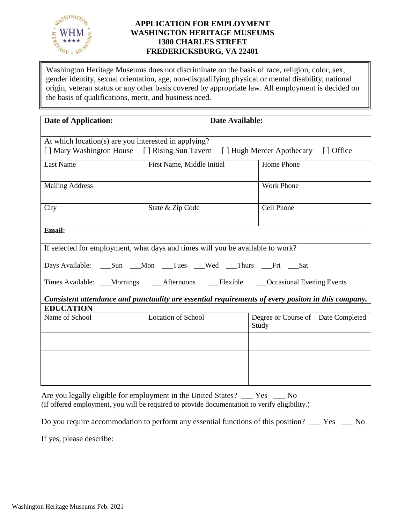

## **APPLICATION FOR EMPLOYMENT WASHINGTON HERITAGE MUSEUMS 1300 CHARLES STREET FREDERICKSBURG, VA 22401**

Washington Heritage Museums does not discriminate on the basis of race, religion, color, sex, gender identity, sexual orientation, age, non-disqualifying physical or mental disability, national origin, veteran status or any other basis covered by appropriate law. All employment is decided on the basis of qualifications, merit, and business need.

| <b>Date of Application:</b>                                                                                                               | Date Available:                                                                |                                               |  |
|-------------------------------------------------------------------------------------------------------------------------------------------|--------------------------------------------------------------------------------|-----------------------------------------------|--|
| At which location(s) are you interested in applying?<br>[] Mary Washington House [] Rising Sun Tavern [] Hugh Mercer Apothecary [] Office |                                                                                |                                               |  |
| <b>Last Name</b>                                                                                                                          | First Name, Middle Initial                                                     | Home Phone                                    |  |
| <b>Mailing Address</b>                                                                                                                    |                                                                                | <b>Work Phone</b>                             |  |
| City                                                                                                                                      | Cell Phone<br>State & Zip Code                                                 |                                               |  |
| Email:                                                                                                                                    |                                                                                |                                               |  |
|                                                                                                                                           | If selected for employment, what days and times will you be available to work? |                                               |  |
| Days Available: _____Sun ____Mon ____Tues ____Wed ____Thurs ____Fri ____Sat                                                               |                                                                                |                                               |  |
| Times Available: ___Mornings ____Afternoons ____Flexible ____Occasional Evening Events                                                    |                                                                                |                                               |  |
| Consistent attendance and punctuality are essential requirements of every positon in this company.<br><b>EDUCATION</b>                    |                                                                                |                                               |  |
| Name of School                                                                                                                            | <b>Location of School</b>                                                      | Degree or Course of   Date Completed<br>Study |  |
|                                                                                                                                           |                                                                                |                                               |  |
|                                                                                                                                           |                                                                                |                                               |  |
|                                                                                                                                           |                                                                                |                                               |  |

Are you legally eligible for employment in the United States? \_\_\_ Yes \_\_\_ No (If offered employment, you will be required to provide documentation to verify eligibility.)

Do you require accommodation to perform any essential functions of this position? \_\_\_ Yes \_\_\_ No

If yes, please describe: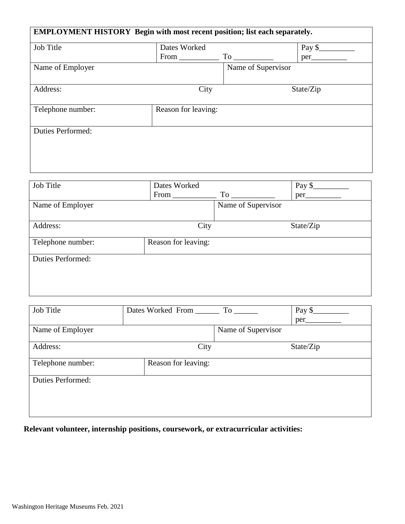| <b>EMPLOYMENT HISTORY</b> Begin with most recent position; list each separately. |                     |                    |                   |
|----------------------------------------------------------------------------------|---------------------|--------------------|-------------------|
|                                                                                  |                     |                    |                   |
| <b>Job Title</b>                                                                 | Dates Worked        |                    | Pay $\frac{1}{2}$ |
|                                                                                  | $From \_\_$         |                    | per_              |
| Name of Employer                                                                 |                     | Name of Supervisor |                   |
|                                                                                  |                     |                    |                   |
| Address:                                                                         | City                |                    | State/Zip         |
|                                                                                  |                     |                    |                   |
| Telephone number:                                                                | Reason for leaving: |                    |                   |
|                                                                                  |                     |                    |                   |
| <b>Duties Performed:</b>                                                         |                     |                    |                   |
|                                                                                  |                     |                    |                   |
|                                                                                  |                     |                    |                   |
|                                                                                  |                     |                    |                   |
|                                                                                  |                     |                    |                   |

| Job Title                | Dates Worked        |                    | Pay \$    |
|--------------------------|---------------------|--------------------|-----------|
|                          | From $_{-}$         | $To$ __            | per_      |
| Name of Employer         |                     | Name of Supervisor |           |
|                          |                     |                    |           |
| Address:                 | City                |                    | State/Zip |
|                          |                     |                    |           |
| Telephone number:        | Reason for leaving: |                    |           |
|                          |                     |                    |           |
| <b>Duties Performed:</b> |                     |                    |           |
|                          |                     |                    |           |
|                          |                     |                    |           |
|                          |                     |                    |           |
|                          |                     |                    |           |

| Job Title                | Dates Worked From _____ | To the control of the control of the control of the control of the control of the control of the control of the control of the control of the control of the control of the control of the control of the control of the contr | Pay \$    |
|--------------------------|-------------------------|--------------------------------------------------------------------------------------------------------------------------------------------------------------------------------------------------------------------------------|-----------|
|                          |                         |                                                                                                                                                                                                                                | per       |
| Name of Employer         |                         | Name of Supervisor                                                                                                                                                                                                             |           |
|                          |                         |                                                                                                                                                                                                                                |           |
| Address:                 | City                    |                                                                                                                                                                                                                                | State/Zip |
|                          |                         |                                                                                                                                                                                                                                |           |
| Telephone number:        | Reason for leaving:     |                                                                                                                                                                                                                                |           |
| <b>Duties Performed:</b> |                         |                                                                                                                                                                                                                                |           |
|                          |                         |                                                                                                                                                                                                                                |           |
|                          |                         |                                                                                                                                                                                                                                |           |
|                          |                         |                                                                                                                                                                                                                                |           |

**Relevant volunteer, internship positions, coursework, or extracurricular activities:**